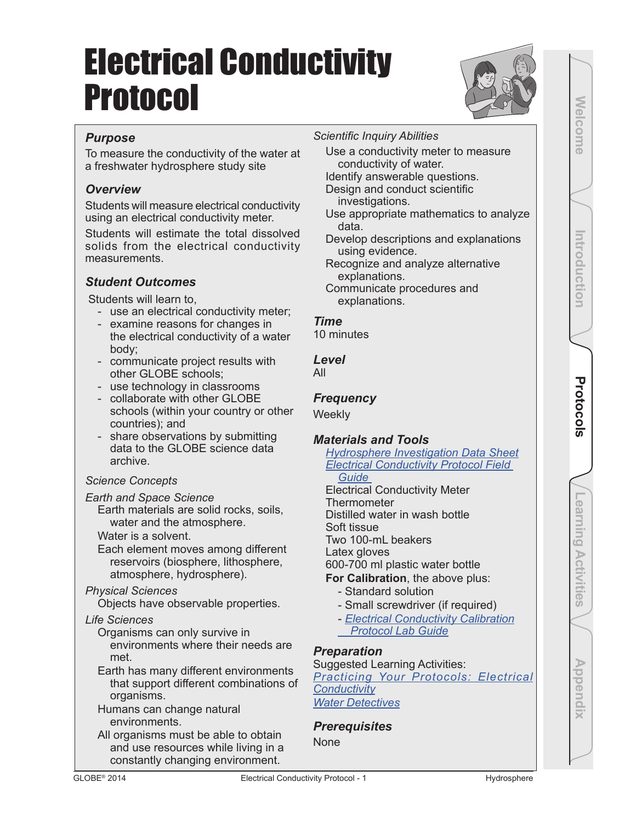# Electrical Conductivity Protocol



### *Purpose*

To measure the conductivity of the water at a freshwater hydrosphere study site

### *Overview*

Students will measure electrical conductivity using an electrical conductivity meter.

Students will estimate the total dissolved solids from the electrical conductivity measurements.

### *Student Outcomes*

Students will learn to,

- use an electrical conductivity meter;
- examine reasons for changes in the electrical conductivity of a water body;
- communicate project results with other GLOBE schools;
- use technology in classrooms
- collaborate with other GLOBE schools (within your country or other countries); and
- share observations by submitting data to the GLOBE science data archive.

### *Science Concepts*

*Earth and Space Science*

Earth materials are solid rocks, soils, water and the atmosphere.

Water is a solvent.

Each element moves among different reservoirs (biosphere, lithosphere, atmosphere, hydrosphere).

### *Physical Sciences*

Objects have observable properties.

### *Life Sciences*

- Organisms can only survive in environments where their needs are met.
- Earth has many different environments that support different combinations of organisms.
- Humans can change natural environments.
- All organisms must be able to obtain and use resources while living in a constantly changing environment.

### *Scientific Inquiry Abilities*

Use a conductivity meter to measure conductivity of water.

Identify answerable questions. Design and conduct scientific

investigations.

- 
- Use appropriate mathematics to analyze data.
- Develop descriptions and explanations using evidence.
- Recognize and analyze alternative explanations.

Communicate procedures and explanations.

### *Time*

10 minutes

### *Level*

All

### *Frequency*

**Weekly** 

### *Materials and Tools*

#### *Hydrosphere Investigation Data Sheet Electrical Conductivity Protocol Field Guide*

Electrical Conductivity Meter **Thermometer** Distilled water in wash bottle Soft tissue Two 100-mL beakers Latex gloves 600-700 ml plastic water bottle **For Calibration**, the above plus:

- Standard solution
- Small screwdriver (if required)
- *Electrical Conductivity Calibration Protocol Lab Guide*

### *Preparation*

Suggested Learning Activities: *Practicing Your Protocols: Electrical Conductivity Water Detectives*

### *Prerequisites*

None

**Learning Activities**

-earning Activities

Appendix

**Welcome Introduction Appendix Appendix Appendix Appendix** 

**Protocols** 

Introduction

Welcome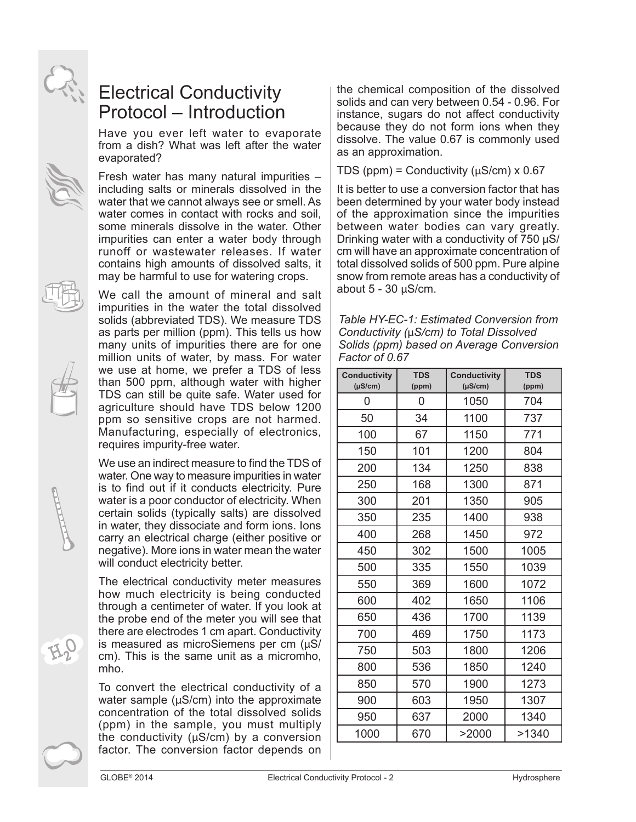

Have you ever left water to evaporate from a dish? What was left after the water evaporated?

Fresh water has many natural impurities – including salts or minerals dissolved in the water that we cannot always see or smell. As water comes in contact with rocks and soil, some minerals dissolve in the water. Other impurities can enter a water body through runoff or wastewater releases. If water contains high amounts of dissolved salts, it may be harmful to use for watering crops.

We call the amount of mineral and salt impurities in the water the total dissolved solids (abbreviated TDS). We measure TDS as parts per million (ppm). This tells us how many units of impurities there are for one million units of water, by mass. For water we use at home, we prefer a TDS of less than 500 ppm, although water with higher TDS can still be quite safe. Water used for agriculture should have TDS below 1200 ppm so sensitive crops are not harmed. Manufacturing, especially of electronics, requires impurity-free water.

We use an indirect measure to find the TDS of water. One way to measure impurities in water is to find out if it conducts electricity. Pure water is a poor conductor of electricity. When certain solids (typically salts) are dissolved in water, they dissociate and form ions. Ions carry an electrical charge (either positive or negative). More ions in water mean the water will conduct electricity better.

The electrical conductivity meter measures how much electricity is being conducted through a centimeter of water. If you look at the probe end of the meter you will see that there are electrodes 1 cm apart. Conductivity is measured as microSiemens per cm  $(\mu S)$ cm). This is the same unit as a micromho, mho.

To convert the electrical conductivity of a water sample ( $\mu$ S/cm) into the approximate concentration of the total dissolved solids (ppm) in the sample, you must multiply the conductivity  $(\mu S/cm)$  by a conversion factor. The conversion factor depends on TDS (ppm) = Conductivity ( $\mu$ S/cm) x 0.67

It is better to use a conversion factor that has been determined by your water body instead of the approximation since the impurities between water bodies can vary greatly. Drinking water with a conductivity of  $750 \mu\text{S}/$ cm will have an approximate concentration of total dissolved solids of 500 ppm. Pure alpine snow from remote areas has a conductivity of about  $5 - 30 \mu S/cm$ .

*Table HY-EC-1: Estimated Conversion from Conductivity (*µ*S/cm) to Total Dissolved Solids (ppm) based on Average Conversion Factor of 0.67*

| <b>Conductivity</b><br>$(\mu S/cm)$ | <b>TDS</b><br>(ppm) | <b>Conductivity</b><br>$(\mu S/cm)$ | <b>TDS</b><br>(ppm) |
|-------------------------------------|---------------------|-------------------------------------|---------------------|
| 0                                   | 0                   | 1050                                | 704                 |
| 50                                  | 34                  | 1100                                | 737                 |
| 100                                 | 67                  | 1150                                | 771                 |
| 150                                 | 101                 | 1200                                | 804                 |
| 200                                 | 134                 | 1250                                | 838                 |
| 250                                 | 168                 | 1300                                | 871                 |
| 300                                 | 201                 | 1350                                | 905                 |
| 350                                 | 235                 | 1400                                | 938                 |
| 400                                 | 268                 | 1450                                | 972                 |
| 450                                 | 302                 | 1500                                | 1005                |
| 500                                 | 335                 | 1550                                | 1039                |
| 550                                 | 369                 | 1600                                | 1072                |
| 600                                 | 402                 | 1650                                | 1106                |
| 650                                 | 436                 | 1700                                | 1139                |
| 700                                 | 469                 | 1750                                | 1173                |
| 750                                 | 503                 | 1800                                | 1206                |
| 800                                 | 536                 | 1850                                | 1240                |
| 850                                 | 570                 | 1900                                | 1273                |
| 900                                 | 603                 | 1950                                | 1307                |
| 950                                 | 637                 | 2000                                | 1340                |
| 1000                                | 670                 | >2000                               | >1340               |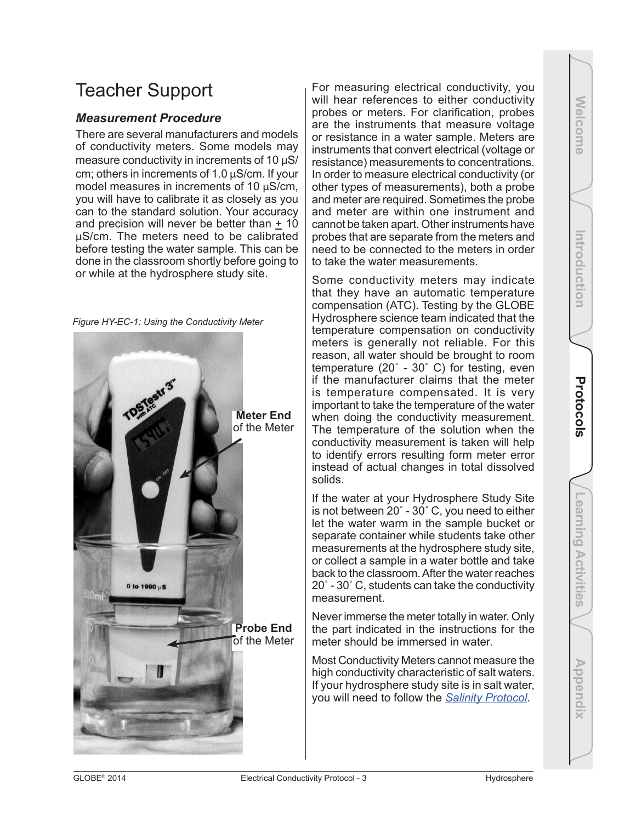### Teacher Support

### *Measurement Procedure*

There are several manufacturers and models of conductivity meters. Some models may measure conductivity in increments of 10 µS/ cm; others in increments of 1.0 µS/cm. If your model measures in increments of 10 µS/cm, you will have to calibrate it as closely as you can to the standard solution. Your accuracy and precision will never be better than + 10 µS/cm. The meters need to be calibrated before testing the water sample. This can be done in the classroom shortly before going to or while at the hydrosphere study site.

*Figure HY-EC-1: Using the Conductivity Meter* **Meter End** of the Meter 0 to 1990 µS **Probe End** of the Meter For measuring electrical conductivity, you will hear references to either conductivity probes or meters. For clarification, probes are the instruments that measure voltage or resistance in a water sample. Meters are instruments that convert electrical (voltage or resistance) measurements to concentrations. In order to measure electrical conductivity (or other types of measurements), both a probe and meter are required. Sometimes the probe and meter are within one instrument and cannot be taken apart. Other instruments have probes that are separate from the meters and need to be connected to the meters in order to take the water measurements.

Some conductivity meters may indicate that they have an automatic temperature compensation (ATC). Testing by the GLOBE Hydrosphere science team indicated that the temperature compensation on conductivity meters is generally not reliable. For this reason, all water should be brought to room temperature (20˚ - 30˚ C) for testing, even if the manufacturer claims that the meter is temperature compensated. It is very important to take the temperature of the water when doing the conductivity measurement. The temperature of the solution when the conductivity measurement is taken will help to identify errors resulting form meter error instead of actual changes in total dissolved solids.

If the water at your Hydrosphere Study Site is not between 20˚ - 30˚ C, you need to either let the water warm in the sample bucket or separate container while students take other measurements at the hydrosphere study site, or collect a sample in a water bottle and take back to the classroom. After the water reaches 20˚ - 30˚ C, students can take the conductivity measurement.

Never immerse the meter totally in water. Only the part indicated in the instructions for the meter should be immersed in water.

Most Conductivity Meters cannot measure the high conductivity characteristic of salt waters. If your hydrosphere study site is in salt water, you will need to follow the *Salinity Protocol*.

Appendix

Welcome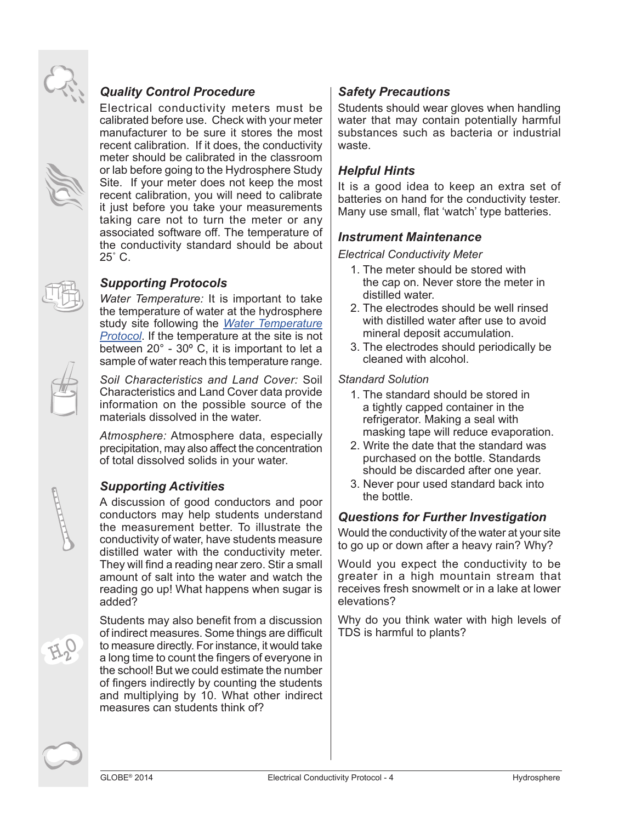

Electrical conductivity meters must be calibrated before use. Check with your meter manufacturer to be sure it stores the most recent calibration. If it does, the conductivity meter should be calibrated in the classroom or lab before going to the Hydrosphere Study Site. If your meter does not keep the most recent calibration, you will need to calibrate it just before you take your measurements taking care not to turn the meter or any associated software off. The temperature of the conductivity standard should be about 25˚ C.

### *Supporting Protocols*

*Water Temperature:* It is important to take the temperature of water at the hydrosphere study site following the *Water Temperature Protocol*. If the temperature at the site is not between 20° - 30º C, it is important to let a sample of water reach this temperature range.

*Soil Characteristics and Land Cover:* Soil Characteristics and Land Cover data provide information on the possible source of the materials dissolved in the water.

*Atmosphere:* Atmosphere data, especially precipitation, may also affect the concentration of total dissolved solids in your water.

### *Supporting Activities*

A discussion of good conductors and poor conductors may help students understand the measurement better. To illustrate the conductivity of water, have students measure distilled water with the conductivity meter. They will find a reading near zero. Stir a small amount of salt into the water and watch the reading go up! What happens when sugar is added?

Students may also benefit from a discussion of indirect measures. Some things are difficult to measure directly. For instance, it would take a long time to count the fingers of everyone in the school! But we could estimate the number of fingers indirectly by counting the students and multiplying by 10. What other indirect measures can students think of?

### *Safety Precautions*

Students should wear gloves when handling water that may contain potentially harmful substances such as bacteria or industrial waste.

### *Helpful Hints*

It is a good idea to keep an extra set of batteries on hand for the conductivity tester. Many use small, flat 'watch' type batteries.

### *Instrument Maintenance*

*Electrical Conductivity Meter*

- 1. The meter should be stored with the cap on. Never store the meter in distilled water.
- 2. The electrodes should be well rinsed with distilled water after use to avoid mineral deposit accumulation.
- 3. The electrodes should periodically be cleaned with alcohol.

### *Standard Solution*

- 1. The standard should be stored in a tightly capped container in the refrigerator. Making a seal with masking tape will reduce evaporation.
- 2. Write the date that the standard was purchased on the bottle. Standards should be discarded after one year.
- 3. Never pour used standard back into the bottle.

### *Questions for Further Investigation*

Would the conductivity of the water at your site to go up or down after a heavy rain? Why?

Would you expect the conductivity to be greater in a high mountain stream that receives fresh snowmelt or in a lake at lower elevations?

Why do you think water with high levels of TDS is harmful to plants?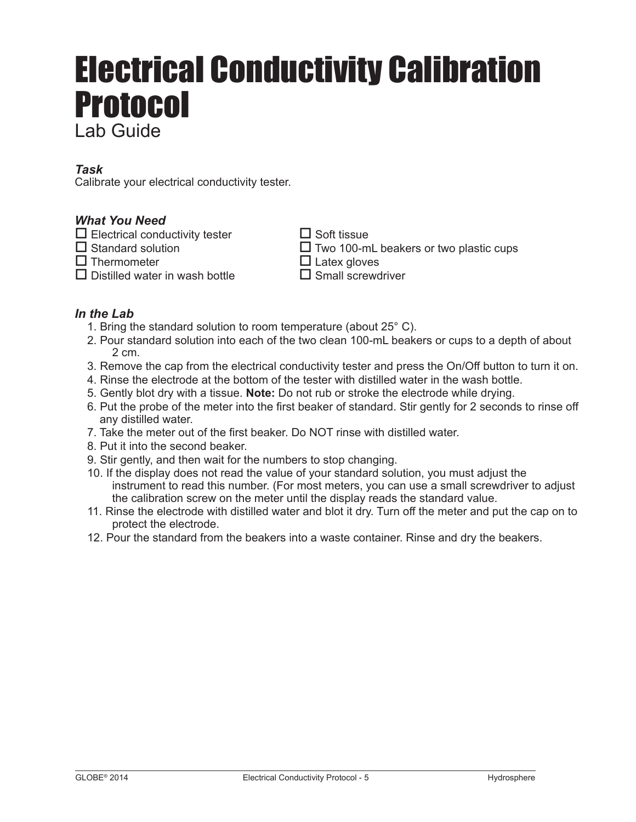# Electrical Conductivity Calibration Protocol Lab Guide

### *Task*

Calibrate your electrical conductivity tester.

### *What You Need*

- $\square$  Electrical conductivity tester  $\square$  Soft tissue  $\square$  Soft tissue  $\square$  Two 100-m
- 
- 
- $\Box$  Distilled water in wash bottle

 $\square$  Two 100-mL beakers or two plastic cups  $\square$  Thermometer  $\square$  Latex gloves<br> $\square$  Distilled water in wash bottle  $\square$  Small screwdriver

### *In the Lab*

- 1. Bring the standard solution to room temperature (about 25° C).
- 2. Pour standard solution into each of the two clean 100-mL beakers or cups to a depth of about 2 cm.
- 3. Remove the cap from the electrical conductivity tester and press the On/Off button to turn it on.
- 4. Rinse the electrode at the bottom of the tester with distilled water in the wash bottle.
- 5. Gently blot dry with a tissue. **Note:** Do not rub or stroke the electrode while drying.
- 6. Put the probe of the meter into the first beaker of standard. Stir gently for 2 seconds to rinse off any distilled water.
- 7. Take the meter out of the first beaker. Do NOT rinse with distilled water.
- 8. Put it into the second beaker.
- 9. Stir gently, and then wait for the numbers to stop changing.
- 10. If the display does not read the value of your standard solution, you must adjust the instrument to read this number. (For most meters, you can use a small screwdriver to adjust the calibration screw on the meter until the display reads the standard value.
- 11. Rinse the electrode with distilled water and blot it dry. Turn off the meter and put the cap on to protect the electrode.
- 12. Pour the standard from the beakers into a waste container. Rinse and dry the beakers.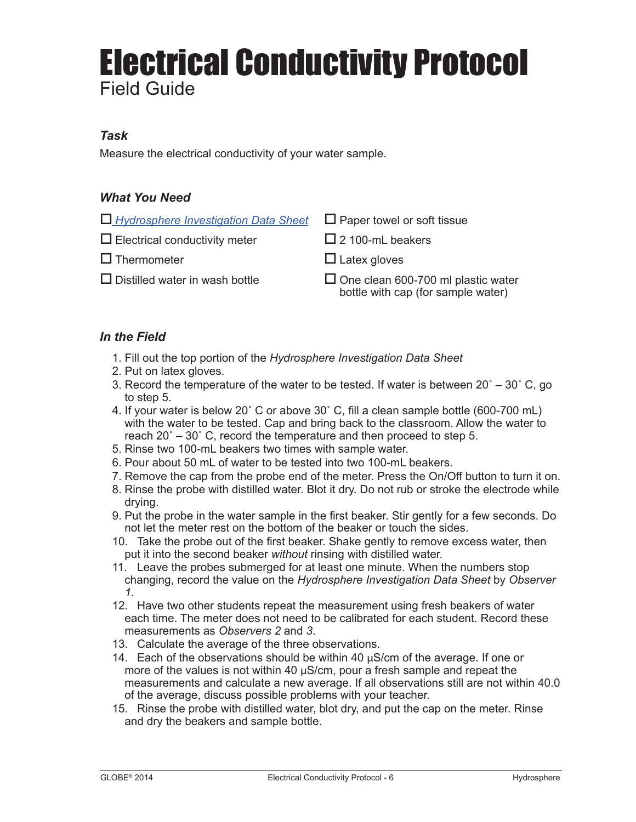## Electrical Conductivity Protocol Field Guide

### *Task*

Measure the electrical conductivity of your water sample.

### *What You Need*

| $\Box$ Hydrosphere Investigation Data Sheet $\Box$ Paper towel or soft tissue |                                                                                    |
|-------------------------------------------------------------------------------|------------------------------------------------------------------------------------|
| $\Box$ Electrical conductivity meter                                          | $\Box$ 2 100-mL beakers                                                            |
| $\Box$ Thermometer                                                            | $\Box$ Latex gloves                                                                |
| $\Box$ Distilled water in wash bottle                                         | $\square$ One clean 600-700 ml plastic water<br>bottle with cap (for sample water) |

### *In the Field*

- 1. Fill out the top portion of the *Hydrosphere Investigation Data Sheet*
- 2. Put on latex gloves.
- 3. Record the temperature of the water to be tested. If water is between  $20^\circ 30^\circ$  C, go to step 5.
- 4. If your water is below 20˚ C or above 30˚ C, fill a clean sample bottle (600-700 mL) with the water to be tested. Cap and bring back to the classroom. Allow the water to reach 20˚ – 30˚ C, record the temperature and then proceed to step 5.
- 5. Rinse two 100-mL beakers two times with sample water.
- 6. Pour about 50 mL of water to be tested into two 100-mL beakers.
- 7. Remove the cap from the probe end of the meter. Press the On/Off button to turn it on.
- 8. Rinse the probe with distilled water. Blot it dry. Do not rub or stroke the electrode while drying.
- 9. Put the probe in the water sample in the first beaker. Stir gently for a few seconds. Do not let the meter rest on the bottom of the beaker or touch the sides.
- 10. Take the probe out of the first beaker. Shake gently to remove excess water, then put it into the second beaker *without* rinsing with distilled water.
- 11. Leave the probes submerged for at least one minute. When the numbers stop changing, record the value on the *Hydrosphere Investigation Data Sheet* by *Observer 1*.
- 12. Have two other students repeat the measurement using fresh beakers of water each time. The meter does not need to be calibrated for each student. Record these measurements as *Observers 2* and *3*.
- 13. Calculate the average of the three observations.
- 14. Each of the observations should be within 40 µS/cm of the average. If one or more of the values is not within 40  $\mu$ S/cm, pour a fresh sample and repeat the measurements and calculate a new average. If all observations still are not within 40.0 of the average, discuss possible problems with your teacher.
- 15. Rinse the probe with distilled water, blot dry, and put the cap on the meter. Rinse and dry the beakers and sample bottle.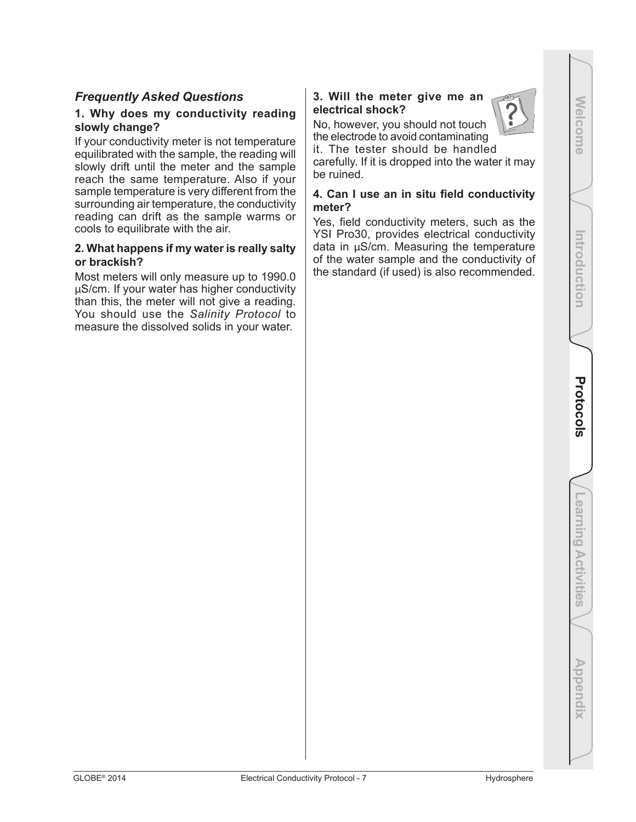### *Frequently Asked Questions*

### **1. Why does my conductivity reading slowly change?**

If your conductivity meter is not temperature equilibrated with the sample, the reading will slowly drift until the meter and the sample reach the same temperature. Also if your sample temperature is very different from the surrounding air temperature, the conductivity reading can drift as the sample warms or cools to equilibrate with the air.

### **2. What happens if my water is really salty or brackish?**

Most meters will only measure up to 1990.0 µS/cm. If your water has higher conductivity than this, the meter will not give a reading. You should use the *Salinity Protocol* to measure the dissolved solids in your water.

### **3. Will the meter give me an electrical shock?**

No, however, you should not touch the electrode to avoid contaminating

it. The tester should be handled carefully. If it is dropped into the water it may be ruined.

### **4. Can I use an in situ field conductivity meter?**

Yes, field conductivity meters, such as the YSI Pro30, provides electrical conductivity data in µS/cm. Measuring the temperature of the water sample and the conductivity of the standard (if used) is also recommended.



Introduction

**Welcome** 

Appendix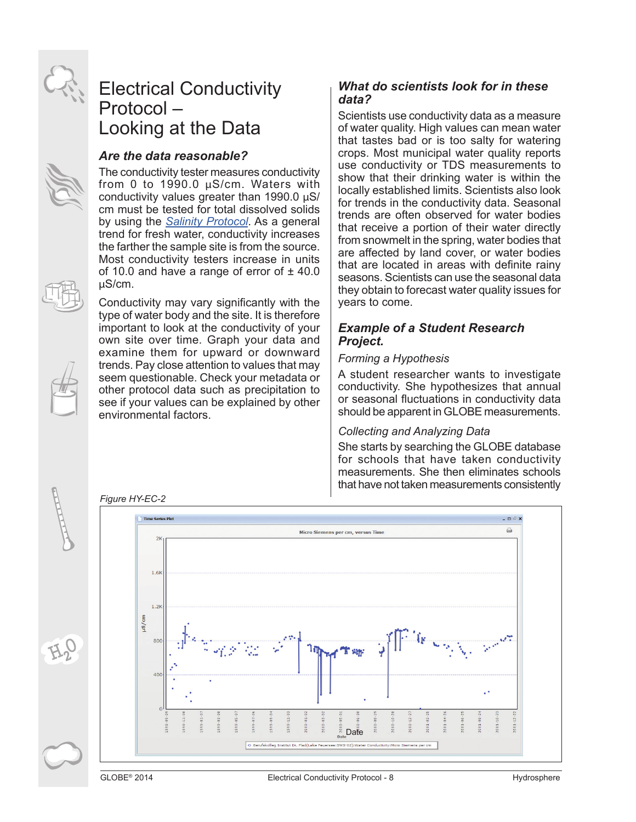

### Electrical Conductivity Protocol – Looking at the Data

### *Are the data reasonable?*

The conductivity tester measures conductivity from 0 to 1990.0 µS/cm. Waters with conductivity values greater than 1990.0 µS/ cm must be tested for total dissolved solids by using the *Salinity Protocol*. As a general trend for fresh water, conductivity increases the farther the sample site is from the source. Most conductivity testers increase in units of 10.0 and have a range of error of  $\pm$  40.0 µS/cm.

Conductivity may vary significantly with the type of water body and the site. It is therefore important to look at the conductivity of your own site over time. Graph your data and examine them for upward or downward trends. Pay close attention to values that may seem questionable. Check your metadata or other protocol data such as precipitation to see if your values can be explained by other environmental factors.

### *What do scientists look for in these data?*

Scientists use conductivity data as a measure of water quality. High values can mean water that tastes bad or is too salty for watering crops. Most municipal water quality reports use conductivity or TDS measurements to show that their drinking water is within the locally established limits. Scientists also look for trends in the conductivity data. Seasonal trends are often observed for water bodies that receive a portion of their water directly from snowmelt in the spring, water bodies that are affected by land cover, or water bodies that are located in areas with definite rainy seasons. Scientists can use the seasonal data they obtain to forecast water quality issues for years to come.

### *Example of a Student Research Project.*

### *Forming a Hypothesis*

A student researcher wants to investigate conductivity. She hypothesizes that annual or seasonal fluctuations in conductivity data should be apparent in GLOBE measurements.

### *Collecting and Analyzing Data*

She starts by searching the GLOBE database for schools that have taken conductivity measurements. She then eliminates schools that have not taken measurements consistently



*Figure HY-EC-2*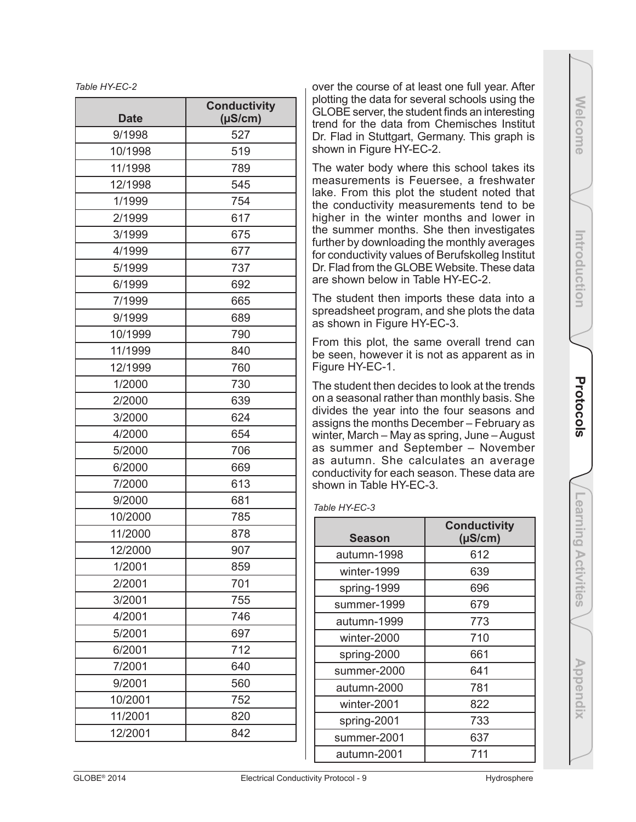*Table HY-EC-2*

| <b>Date</b> | <b>Conductivity</b><br>$(\mu S/cm)$ |  |  |
|-------------|-------------------------------------|--|--|
| 9/1998      | 527                                 |  |  |
| 10/1998     | 519                                 |  |  |
| 11/1998     | 789                                 |  |  |
| 12/1998     | 545                                 |  |  |
| 1/1999      | 754                                 |  |  |
| 2/1999      | 617                                 |  |  |
| 3/1999      | 675                                 |  |  |
| 4/1999      | 677                                 |  |  |
| 5/1999      | 737                                 |  |  |
| 6/1999      | 692                                 |  |  |
| 7/1999      | 665                                 |  |  |
| 9/1999      | 689                                 |  |  |
| 10/1999     | 790                                 |  |  |
| 11/1999     | 840                                 |  |  |
| 12/1999     | 760                                 |  |  |
| 1/2000      | 730                                 |  |  |
| 2/2000      | 639                                 |  |  |
| 3/2000      | 624                                 |  |  |
| 4/2000      | 654                                 |  |  |
| 5/2000      | 706                                 |  |  |
| 6/2000      | 669                                 |  |  |
| 7/2000      | 613                                 |  |  |
| 9/2000      | 681                                 |  |  |
| 10/2000     | 785                                 |  |  |
| 11/2000     | 878                                 |  |  |
| 12/2000     | 907                                 |  |  |
| 1/2001      | 859                                 |  |  |
| 2/2001      | 701                                 |  |  |
| 3/2001      | 755                                 |  |  |
| 4/2001      | 746                                 |  |  |
| 5/2001      | 697                                 |  |  |
| 6/2001      | 712                                 |  |  |
| 7/2001      | 640                                 |  |  |
| 9/2001      | 560                                 |  |  |
| 10/2001     | 752                                 |  |  |
| 11/2001     | 820                                 |  |  |
| 12/2001     | 842                                 |  |  |

over the course of at least one full year. After plotting the data for several schools using the GLOBE server, the student finds an interesting trend for the data from Chemisches Institut Dr. Flad in Stuttgart, Germany. This graph is shown in Figure HY-EC-2.

The water body where this school takes its measurements is Feuersee, a freshwater lake. From this plot the student noted that the conductivity measurements tend to be higher in the winter months and lower in the summer months. She then investigates further by downloading the monthly averages for conductivity values of Berufskolleg Institut Dr. Flad from the GLOBE Website. These data are shown below in Table HY-EC-2.

The student then imports these data into a spreadsheet program, and she plots the data as shown in Figure HY-EC-3.

From this plot, the same overall trend can be seen, however it is not as apparent as in Figure HY-EC-1.

The student then decides to look at the trends on a seasonal rather than monthly basis. She divides the year into the four seasons and assigns the months December – February as winter, March – May as spring, June – August as summer and September – November as autumn. She calculates an average conductivity for each season. These data are shown in Table HY-EC-3.

#### *Table HY-EC-3*

| <b>Season</b> | <b>Conductivity</b><br>$(\mu S/cm)$ |  |  |
|---------------|-------------------------------------|--|--|
| autumn-1998   | 612                                 |  |  |
| winter-1999   | 639                                 |  |  |
| spring-1999   | 696                                 |  |  |
| summer-1999   | 679                                 |  |  |
| autumn-1999   | 773                                 |  |  |
| winter-2000   | 710                                 |  |  |
| spring-2000   | 661                                 |  |  |
| summer-2000   | 641                                 |  |  |
| autumn-2000   | 781                                 |  |  |
| winter-2001   | 822                                 |  |  |
| spring-2001   | 733                                 |  |  |
| summer-2001   | 637                                 |  |  |
| autumn-2001   | 711                                 |  |  |

**Welcome Introduction Appendix Appendix Appendix Appendix Protocols Learning Activities** Learning Activities

Appendix

**Welcome** 

Introduction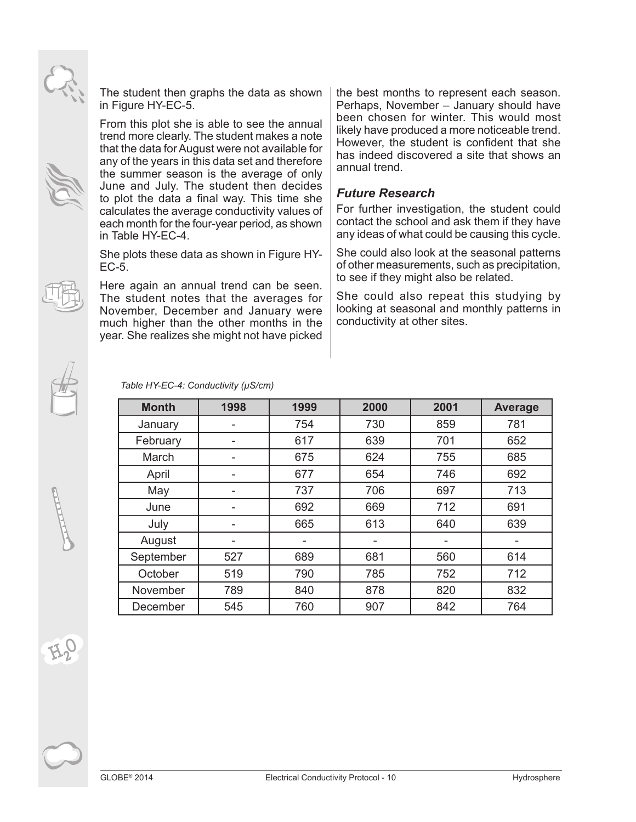The student then graphs the data as shown in Figure HY-EC-5.

From this plot she is able to see the annual trend more clearly. The student makes a note that the data for August were not available for any of the years in this data set and therefore the summer season is the average of only June and July. The student then decides to plot the data a final way. This time she calculates the average conductivity values of each month for the four-year period, as shown in Table HY-EC-4.

She plots these data as shown in Figure HY-EC-5.

Here again an annual trend can be seen. The student notes that the averages for November, December and January were much higher than the other months in the year. She realizes she might not have picked the best months to represent each season. Perhaps, November – January should have been chosen for winter. This would most likely have produced a more noticeable trend. However, the student is confident that she has indeed discovered a site that shows an annual trend.

### *Future Research*

For further investigation, the student could contact the school and ask them if they have any ideas of what could be causing this cycle.

She could also look at the seasonal patterns of other measurements, such as precipitation, to see if they might also be related.

She could also repeat this studying by looking at seasonal and monthly patterns in conductivity at other sites.

| <b>Month</b> | 1998 | 1999 | 2000 | 2001 | <b>Average</b> |  |  |
|--------------|------|------|------|------|----------------|--|--|
| January      |      | 754  | 730  | 859  | 781            |  |  |
| February     |      | 617  | 639  | 701  | 652            |  |  |
| March        |      | 675  | 624  | 755  | 685            |  |  |
| April        |      | 677  | 654  | 746  | 692            |  |  |
| May          |      | 737  | 706  | 697  | 713            |  |  |
| June         |      | 692  | 669  | 712  | 691            |  |  |
| July         |      | 665  | 613  | 640  | 639            |  |  |
| August       |      | -    | -    | ۰    | ۰              |  |  |
| September    | 527  | 689  | 681  | 560  | 614            |  |  |
| October      | 519  | 790  | 785  | 752  | 712            |  |  |
| November     | 789  | 840  | 878  | 820  | 832            |  |  |
| December     | 545  | 760  | 907  | 842  | 764            |  |  |

*Table HY-EC-4: Conductivity (µS/cm)*